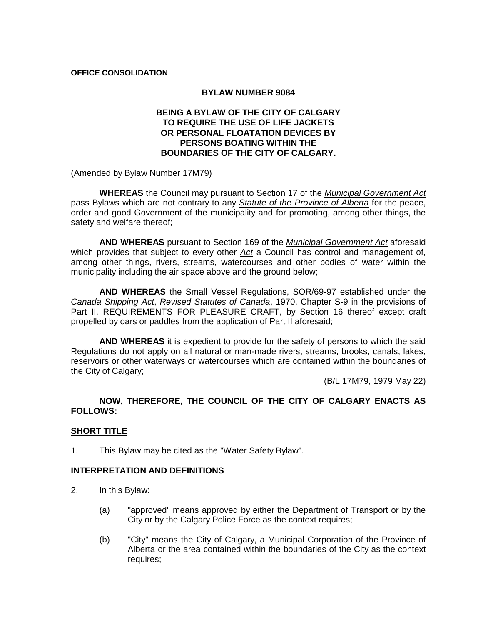#### **OFFICE CONSOLIDATION**

### **BYLAW NUMBER 9084**

## **BEING A BYLAW OF THE CITY OF CALGARY TO REQUIRE THE USE OF LIFE JACKETS OR PERSONAL FLOATATION DEVICES BY PERSONS BOATING WITHIN THE BOUNDARIES OF THE CITY OF CALGARY.**

(Amended by Bylaw Number 17M79)

**WHEREAS** the Council may pursuant to Section 17 of the *Municipal Government Act* pass Bylaws which are not contrary to any *Statute of the Province of Alberta* for the peace, order and good Government of the municipality and for promoting, among other things, the safety and welfare thereof;

**AND WHEREAS** pursuant to Section 169 of the *Municipal Government Act* aforesaid which provides that subject to every other *Act* a Council has control and management of, among other things, rivers, streams, watercourses and other bodies of water within the municipality including the air space above and the ground below;

**AND WHEREAS** the Small Vessel Regulations, SOR/69-97 established under the *Canada Shipping Act*, *Revised Statutes of Canada*, 1970, Chapter S-9 in the provisions of Part II, REQUIREMENTS FOR PLEASURE CRAFT, by Section 16 thereof except craft propelled by oars or paddles from the application of Part II aforesaid;

**AND WHEREAS** it is expedient to provide for the safety of persons to which the said Regulations do not apply on all natural or man-made rivers, streams, brooks, canals, lakes, reservoirs or other waterways or watercourses which are contained within the boundaries of the City of Calgary;

(B/L 17M79, 1979 May 22)

## **NOW, THEREFORE, THE COUNCIL OF THE CITY OF CALGARY ENACTS AS FOLLOWS:**

### **SHORT TITLE**

1. This Bylaw may be cited as the "Water Safety Bylaw".

#### **INTERPRETATION AND DEFINITIONS**

- 2. In this Bylaw:
	- (a) "approved" means approved by either the Department of Transport or by the City or by the Calgary Police Force as the context requires;
	- (b) "City" means the City of Calgary, a Municipal Corporation of the Province of Alberta or the area contained within the boundaries of the City as the context requires;